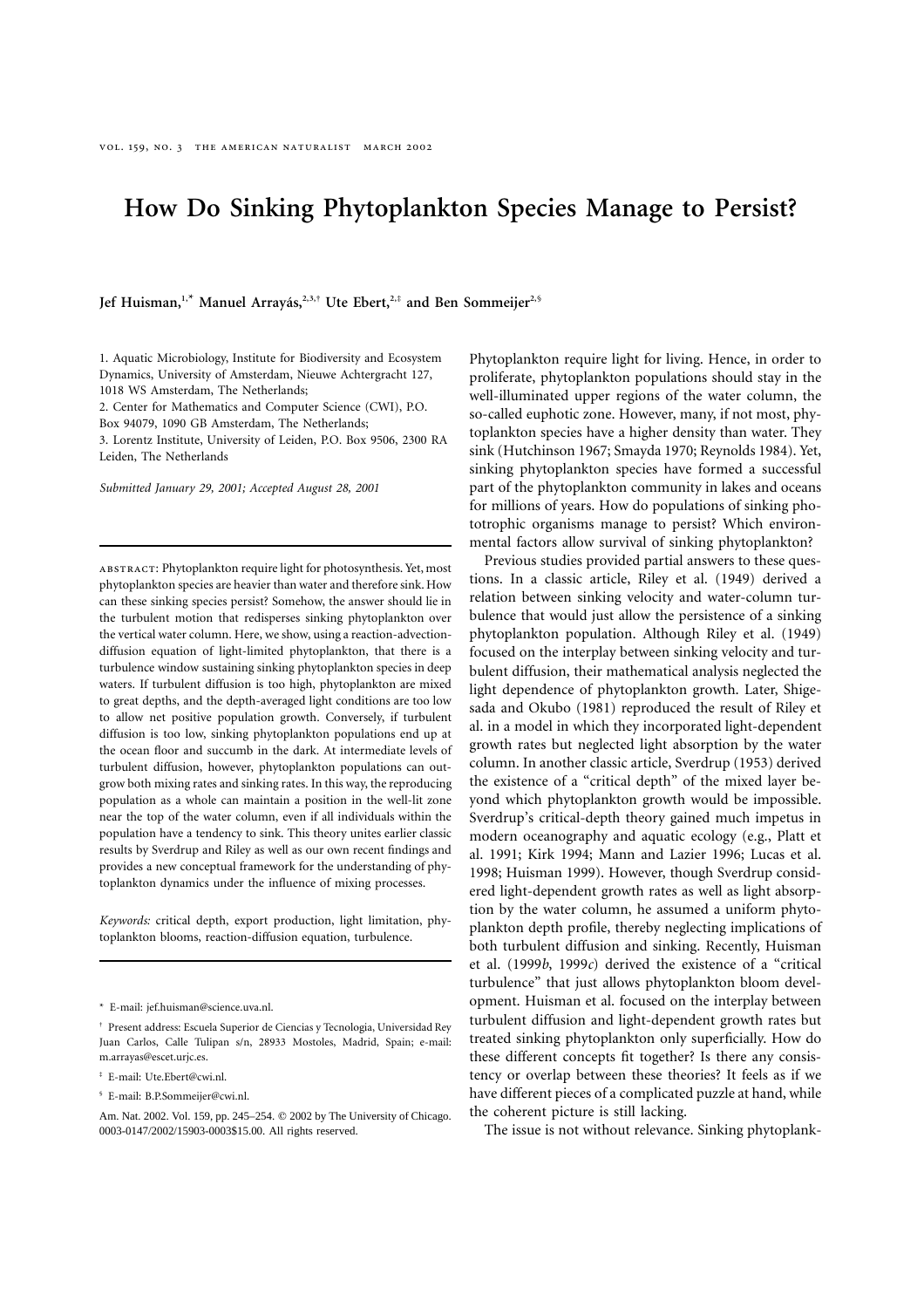# **How Do Sinking Phytoplankton Species Manage to Persist?**

**Jef Huisman,1,\* Manuel Arraya´s,2,3,**† **Ute Ebert,2,**‡ **and Ben Sommeijer2,**§

1. Aquatic Microbiology, Institute for Biodiversity and Ecosystem Dynamics, University of Amsterdam, Nieuwe Achtergracht 127, 1018 WS Amsterdam, The Netherlands;

2. Center for Mathematics and Computer Science (CWI), P.O.

Box 94079, 1090 GB Amsterdam, The Netherlands;

3. Lorentz Institute, University of Leiden, P.O. Box 9506, 2300 RA Leiden, The Netherlands

*Submitted January 29, 2001; Accepted August 28, 2001*

abstract: Phytoplankton require light for photosynthesis. Yet, most phytoplankton species are heavier than water and therefore sink. How can these sinking species persist? Somehow, the answer should lie in the turbulent motion that redisperses sinking phytoplankton over the vertical water column. Here, we show, using a reaction-advectiondiffusion equation of light-limited phytoplankton, that there is a turbulence window sustaining sinking phytoplankton species in deep waters. If turbulent diffusion is too high, phytoplankton are mixed to great depths, and the depth-averaged light conditions are too low to allow net positive population growth. Conversely, if turbulent diffusion is too low, sinking phytoplankton populations end up at the ocean floor and succumb in the dark. At intermediate levels of turbulent diffusion, however, phytoplankton populations can outgrow both mixing rates and sinking rates. In this way, the reproducing population as a whole can maintain a position in the well-lit zone near the top of the water column, even if all individuals within the population have a tendency to sink. This theory unites earlier classic results by Sverdrup and Riley as well as our own recent findings and provides a new conceptual framework for the understanding of phytoplankton dynamics under the influence of mixing processes.

*Keywords:* critical depth, export production, light limitation, phytoplankton blooms, reaction-diffusion equation, turbulence.

Phytoplankton require light for living. Hence, in order to proliferate, phytoplankton populations should stay in the well-illuminated upper regions of the water column, the so-called euphotic zone. However, many, if not most, phytoplankton species have a higher density than water. They sink (Hutchinson 1967; Smayda 1970; Reynolds 1984). Yet, sinking phytoplankton species have formed a successful part of the phytoplankton community in lakes and oceans for millions of years. How do populations of sinking phototrophic organisms manage to persist? Which environmental factors allow survival of sinking phytoplankton?

Previous studies provided partial answers to these questions. In a classic article, Riley et al. (1949) derived a relation between sinking velocity and water-column turbulence that would just allow the persistence of a sinking phytoplankton population. Although Riley et al. (1949) focused on the interplay between sinking velocity and turbulent diffusion, their mathematical analysis neglected the light dependence of phytoplankton growth. Later, Shigesada and Okubo (1981) reproduced the result of Riley et al. in a model in which they incorporated light-dependent growth rates but neglected light absorption by the water column. In another classic article, Sverdrup (1953) derived the existence of a "critical depth" of the mixed layer beyond which phytoplankton growth would be impossible. Sverdrup's critical-depth theory gained much impetus in modern oceanography and aquatic ecology (e.g., Platt et al. 1991; Kirk 1994; Mann and Lazier 1996; Lucas et al. 1998; Huisman 1999). However, though Sverdrup considered light-dependent growth rates as well as light absorption by the water column, he assumed a uniform phytoplankton depth profile, thereby neglecting implications of both turbulent diffusion and sinking. Recently, Huisman et al. (1999*b*, 1999*c*) derived the existence of a "critical turbulence" that just allows phytoplankton bloom development. Huisman et al. focused on the interplay between turbulent diffusion and light-dependent growth rates but treated sinking phytoplankton only superficially. How do these different concepts fit together? Is there any consistency or overlap between these theories? It feels as if we have different pieces of a complicated puzzle at hand, while the coherent picture is still lacking.

The issue is not without relevance. Sinking phytoplank-

<sup>\*</sup> E-mail: jef.huisman@science.uva.nl.

<sup>†</sup> Present address: Escuela Superior de Ciencias y Tecnologia, Universidad Rey Juan Carlos, Calle Tulipan s/n, 28933 Mostoles, Madrid, Spain; e-mail: m.arrayas@escet.urjc.es.

<sup>‡</sup> E-mail: Ute.Ebert@cwi.nl.

<sup>§</sup> E-mail: B.P.Sommeijer@cwi.nl.

Am. Nat. 2002. Vol. 159, pp. 245–254. © 2002 by The University of Chicago. 0003-0147/2002/15903-0003\$15.00. All rights reserved.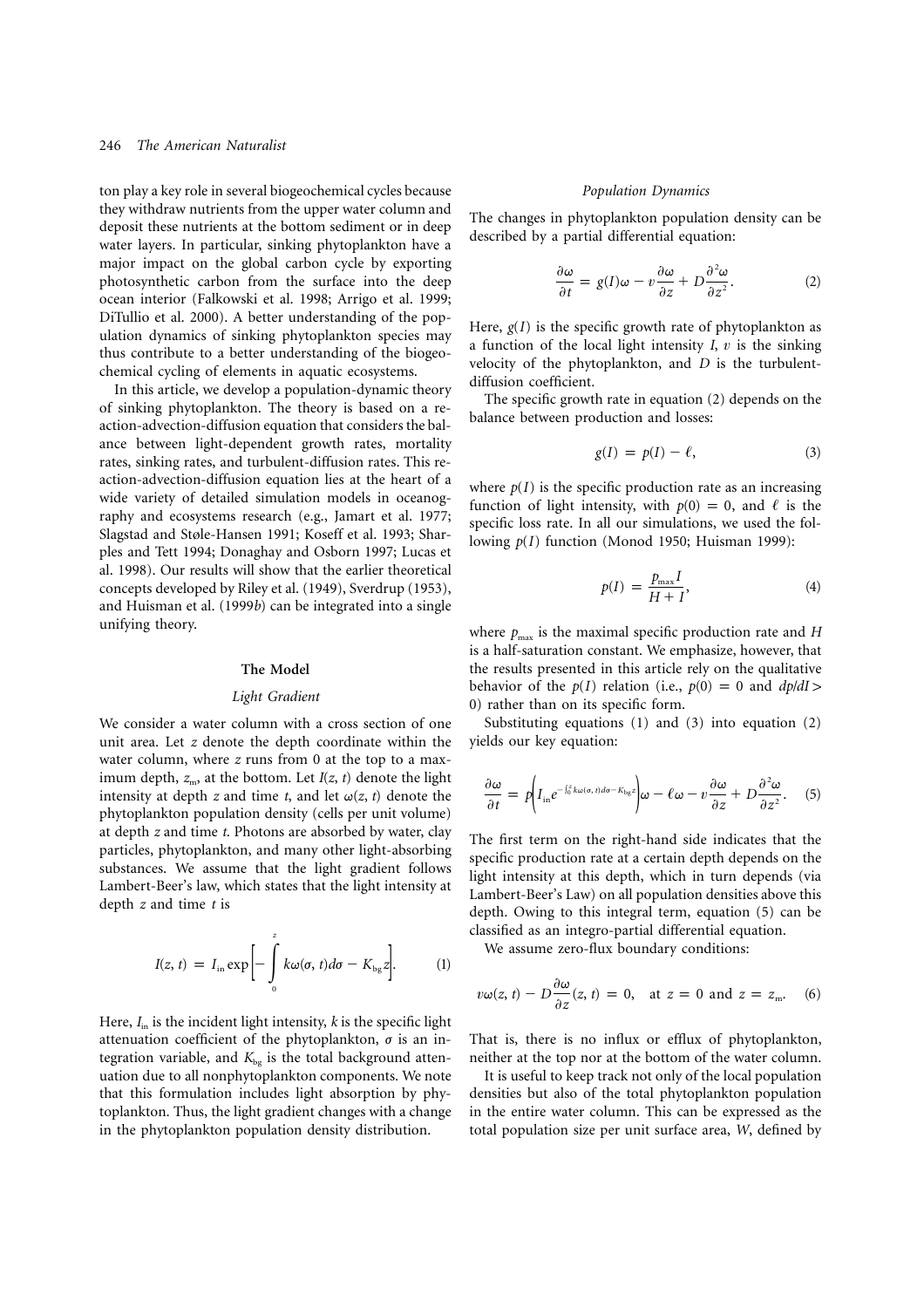# 246 *The American Naturalist*

ton play a key role in several biogeochemical cycles because they withdraw nutrients from the upper water column and deposit these nutrients at the bottom sediment or in deep water layers. In particular, sinking phytoplankton have a major impact on the global carbon cycle by exporting photosynthetic carbon from the surface into the deep ocean interior (Falkowski et al. 1998; Arrigo et al. 1999; DiTullio et al. 2000). A better understanding of the population dynamics of sinking phytoplankton species may thus contribute to a better understanding of the biogeochemical cycling of elements in aquatic ecosystems.

In this article, we develop a population-dynamic theory of sinking phytoplankton. The theory is based on a reaction-advection-diffusion equation that considers the balance between light-dependent growth rates, mortality rates, sinking rates, and turbulent-diffusion rates. This reaction-advection-diffusion equation lies at the heart of a wide variety of detailed simulation models in oceanography and ecosystems research (e.g., Jamart et al. 1977; Slagstad and Støle-Hansen 1991; Koseff et al. 1993; Sharples and Tett 1994; Donaghay and Osborn 1997; Lucas et al. 1998). Our results will show that the earlier theoretical concepts developed by Riley et al. (1949), Sverdrup (1953), and Huisman et al. (1999*b*) can be integrated into a single unifying theory.

# **The Model**

#### *Light Gradient*

We consider a water column with a cross section of one unit area. Let *z* denote the depth coordinate within the water column, where *z* runs from 0 at the top to a maximum depth,  $z_m$ , at the bottom. Let  $I(z, t)$  denote the light intensity at depth *z* and time *t*, and let  $\omega(z, t)$  denote the phytoplankton population density (cells per unit volume) at depth *z* and time *t*. Photons are absorbed by water, clay particles, phytoplankton, and many other light-absorbing substances. We assume that the light gradient follows Lambert-Beer's law, which states that the light intensity at depth *z* and time *t* is

$$
I(z, t) = I_{\text{in}} \exp \left[ - \int_{0}^{z} k \omega(\sigma, t) d\sigma - K_{\text{bg}} z \right]. \tag{1}
$$

Here,  $I_{\text{in}}$  is the incident light intensity,  $k$  is the specific light attenuation coefficient of the phytoplankton,  $\sigma$  is an integration variable, and  $K_{bg}$  is the total background attenuation due to all nonphytoplankton components. We note that this formulation includes light absorption by phytoplankton. Thus, the light gradient changes with a change in the phytoplankton population density distribution.

#### *Population Dynamics*

The changes in phytoplankton population density can be described by a partial differential equation:

$$
\frac{\partial \omega}{\partial t} = g(I)\omega - v\frac{\partial \omega}{\partial z} + D\frac{\partial^2 \omega}{\partial z^2}.
$$
 (2)

Here,  $g(I)$  is the specific growth rate of phytoplankton as a function of the local light intensity  $I, v$  is the sinking velocity of the phytoplankton, and *D* is the turbulentdiffusion coefficient.

The specific growth rate in equation (2) depends on the balance between production and losses:

$$
g(I) = p(I) - \ell, \tag{3}
$$

where  $p(I)$  is the specific production rate as an increasing function of light intensity, with  $p(0) = 0$ , and  $\ell$  is the specific loss rate. In all our simulations, we used the following *p*(*I*) function (Monod 1950; Huisman 1999):

$$
p(I) = \frac{p_{\text{max}}I}{H+I},\tag{4}
$$

where  $p_{\text{max}}$  is the maximal specific production rate and *H* is a half-saturation constant. We emphasize, however, that the results presented in this article rely on the qualitative behavior of the  $p(I)$  relation (i.e.,  $p(0) = 0$  and  $dp/dI$ 0) rather than on its specific form.

Substituting equations (1) and (3) into equation (2) yields our key equation:

$$
\frac{\partial \omega}{\partial t} = p \bigg( I_{\text{in}} e^{-\int_0^z k \omega(\sigma, t) d\sigma - K_{\text{bg}} z} \bigg) \omega - \ell \omega - v \frac{\partial \omega}{\partial z} + D \frac{\partial^2 \omega}{\partial z^2}.
$$
 (5)

The first term on the right-hand side indicates that the specific production rate at a certain depth depends on the light intensity at this depth, which in turn depends (via Lambert-Beer's Law) on all population densities above this depth. Owing to this integral term, equation (5) can be classified as an integro-partial differential equation.

We assume zero-flux boundary conditions:

$$
v\omega(z, t) - D\frac{\partial \omega}{\partial z}(z, t) = 0, \text{ at } z = 0 \text{ and } z = z_{\text{m}}.
$$
 (6)

That is, there is no influx or efflux of phytoplankton, neither at the top nor at the bottom of the water column.

It is useful to keep track not only of the local population densities but also of the total phytoplankton population in the entire water column. This can be expressed as the total population size per unit surface area, *W*, defined by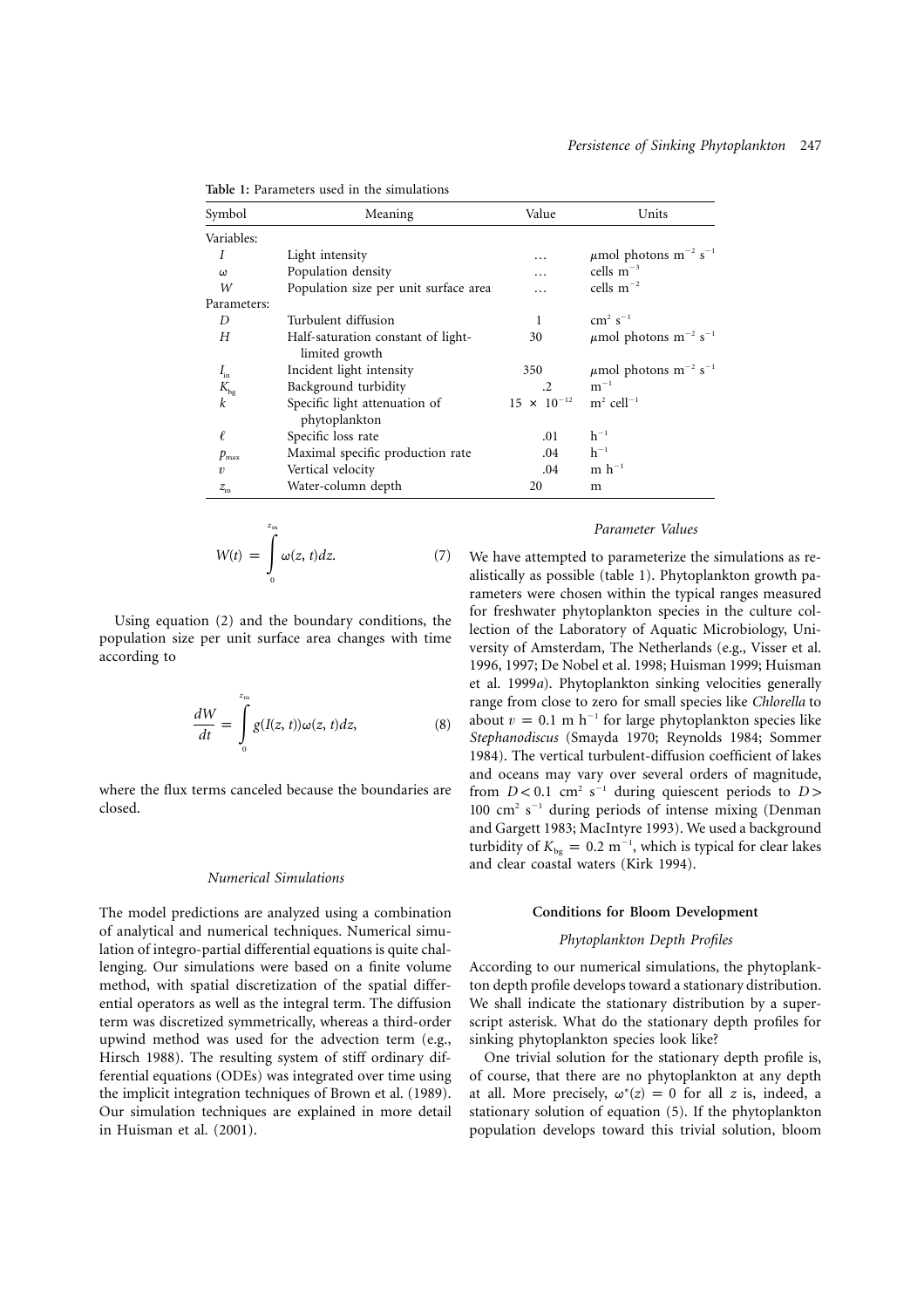| Symbol           | Meaning                                              | Value                | Units                                             |
|------------------|------------------------------------------------------|----------------------|---------------------------------------------------|
| Variables:       |                                                      |                      |                                                   |
| Ι                | Light intensity                                      | .                    | $\mu$ mol photons m <sup>-2</sup> s <sup>-1</sup> |
| $\omega$         | Population density                                   | .                    | cells $m^{-3}$                                    |
| W                | Population size per unit surface area                |                      | cells $m^{-2}$                                    |
| Parameters:      |                                                      |                      |                                                   |
| D                | Turbulent diffusion                                  | 1                    | $\text{cm}^2 \text{ s}^{-1}$                      |
| Н                | Half-saturation constant of light-<br>limited growth | 30                   | $\mu$ mol photons m <sup>-2</sup> s <sup>-1</sup> |
| $I_{\rm in}$     | Incident light intensity                             | 350                  | $\mu$ mol photons m <sup>-2</sup> s <sup>-1</sup> |
| $K_{\rm bg}$     | Background turbidity                                 | $\cdot$ 2            | $m^{-1}$                                          |
| $\boldsymbol{k}$ | Specific light attenuation of<br>phytoplankton       | $15 \times 10^{-12}$ | $m^2$ cell <sup>-1</sup>                          |
| $\ell$           | Specific loss rate                                   | .01                  | $h^{-1}$                                          |
| $p_{\rm max}$    | Maximal specific production rate                     | .04                  | $h^{-1}$                                          |
| $\boldsymbol{v}$ | Vertical velocity                                    | .04                  | $m h^{-1}$                                        |
| $z_{\rm m}$      | Water-column depth                                   | 20                   | m                                                 |

**Table 1:** Parameters used in the simulations

$$
W(t) = \int_{0}^{z_{\rm m}} \omega(z, t) dz.
$$
 (7)

Using equation (2) and the boundary conditions, the population size per unit surface area changes with time according to

$$
\frac{dW}{dt} = \int_{0}^{z_{\rm m}} g(I(z, t)) \omega(z, t) dz,
$$
\n(8)

where the flux terms canceled because the boundaries are closed.

# *Numerical Simulations*

The model predictions are analyzed using a combination of analytical and numerical techniques. Numerical simulation of integro-partial differential equations is quite challenging. Our simulations were based on a finite volume method, with spatial discretization of the spatial differential operators as well as the integral term. The diffusion term was discretized symmetrically, whereas a third-order upwind method was used for the advection term (e.g., Hirsch 1988). The resulting system of stiff ordinary differential equations (ODEs) was integrated over time using the implicit integration techniques of Brown et al. (1989). Our simulation techniques are explained in more detail in Huisman et al. (2001).

#### *Parameter Values*

We have attempted to parameterize the simulations as realistically as possible (table 1). Phytoplankton growth parameters were chosen within the typical ranges measured for freshwater phytoplankton species in the culture collection of the Laboratory of Aquatic Microbiology, University of Amsterdam, The Netherlands (e.g., Visser et al. 1996, 1997; De Nobel et al. 1998; Huisman 1999; Huisman et al. 1999*a*). Phytoplankton sinking velocities generally range from close to zero for small species like *Chlorella* to about  $v = 0.1$  m h<sup>-1</sup> for large phytoplankton species like *Stephanodiscus* (Smayda 1970; Reynolds 1984; Sommer 1984). The vertical turbulent-diffusion coefficient of lakes and oceans may vary over several orders of magnitude, from  $D < 0.1$  cm<sup>2</sup> s<sup>-1</sup> during quiescent periods to  $D >$ 100 cm<sup>2</sup> s<sup>-1</sup> during periods of intense mixing (Denman and Gargett 1983; MacIntyre 1993). We used a background turbidity of  $K_{bg} = 0.2 \text{ m}^{-1}$ , which is typical for clear lakes and clear coastal waters (Kirk 1994).

# **Conditions for Bloom Development**

#### *Phytoplankton Depth Profiles*

According to our numerical simulations, the phytoplankton depth profile develops toward a stationary distribution. We shall indicate the stationary distribution by a superscript asterisk. What do the stationary depth profiles for sinking phytoplankton species look like?

One trivial solution for the stationary depth profile is, of course, that there are no phytoplankton at any depth at all. More precisely,  $\omega^*(z) = 0$  for all *z* is, indeed, a stationary solution of equation (5). If the phytoplankton population develops toward this trivial solution, bloom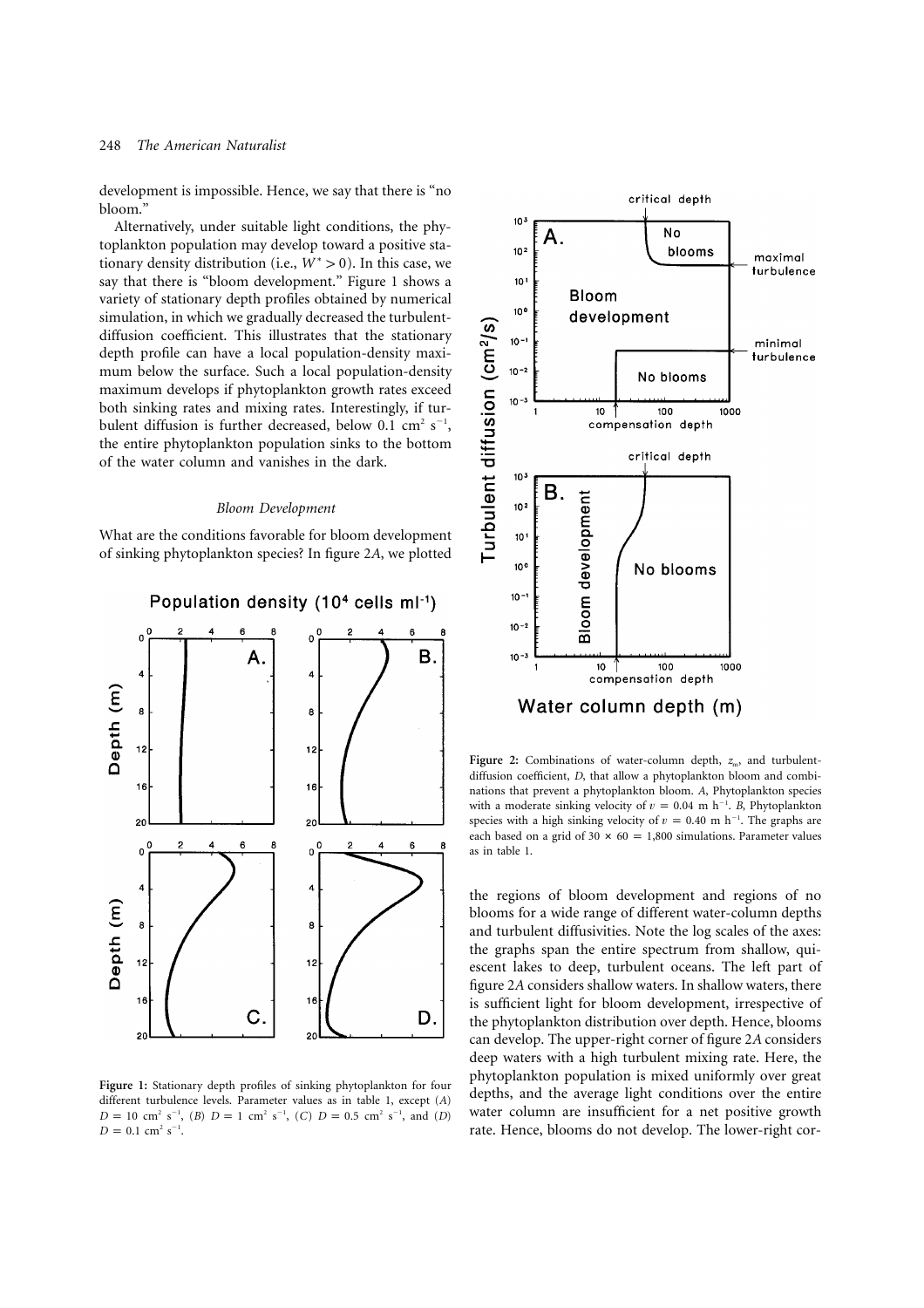development is impossible. Hence, we say that there is "no bloom."

Alternatively, under suitable light conditions, the phytoplankton population may develop toward a positive stationary density distribution (i.e.,  $W^* > 0$ ). In this case, we say that there is "bloom development." Figure 1 shows a variety of stationary depth profiles obtained by numerical simulation, in which we gradually decreased the turbulentdiffusion coefficient. This illustrates that the stationary depth profile can have a local population-density maximum below the surface. Such a local population-density maximum develops if phytoplankton growth rates exceed both sinking rates and mixing rates. Interestingly, if turbulent diffusion is further decreased, below 0.1  $\text{cm}^2 \text{ s}^{-1}$ , the entire phytoplankton population sinks to the bottom of the water column and vanishes in the dark.

#### *Bloom Development*

What are the conditions favorable for bloom development of sinking phytoplankton species? In figure 2*A*, we plotted



**Figure 1:** Stationary depth profiles of sinking phytoplankton for four different turbulence levels. Parameter values as in table 1, except (*A*)  $D = 10$  cm<sup>2</sup> s<sup>-1</sup>, (*B*)  $D = 1$  cm<sup>2</sup> s<sup>-1</sup>, (*C*)  $D = 0.5$  cm<sup>2</sup> s<sup>-1</sup>, and (*D*)  $D = 0.1$  cm<sup>2</sup> s<sup>-1</sup>.



**Figure 2:** Combinations of water-column depth,  $z_m$ , and turbulentdiffusion coefficient, *D*, that allow a phytoplankton bloom and combinations that prevent a phytoplankton bloom. *A*, Phytoplankton species with a moderate sinking velocity of  $v = 0.04$  m h<sup>-1</sup>. *B*, Phytoplankton species with a high sinking velocity of  $v = 0.40$  m h<sup>-1</sup>. The graphs are each based on a grid of 30  $\times$  60 = 1,800 simulations. Parameter values as in table 1.

the regions of bloom development and regions of no blooms for a wide range of different water-column depths and turbulent diffusivities. Note the log scales of the axes: the graphs span the entire spectrum from shallow, quiescent lakes to deep, turbulent oceans. The left part of figure 2*A* considers shallow waters. In shallow waters, there is sufficient light for bloom development, irrespective of the phytoplankton distribution over depth. Hence, blooms can develop. The upper-right corner of figure 2*A* considers deep waters with a high turbulent mixing rate. Here, the phytoplankton population is mixed uniformly over great depths, and the average light conditions over the entire water column are insufficient for a net positive growth rate. Hence, blooms do not develop. The lower-right cor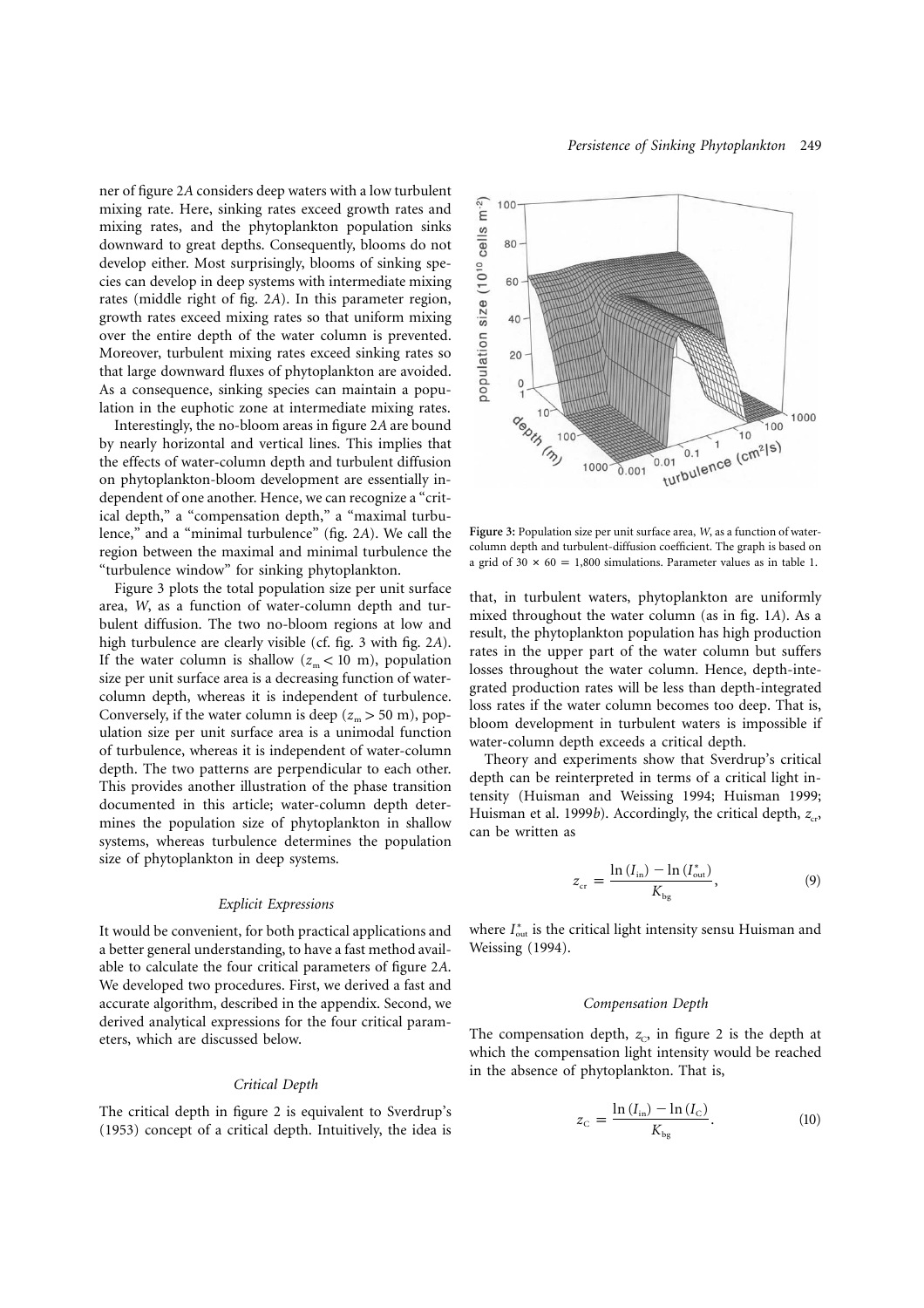ner of figure 2*A* considers deep waters with a low turbulent mixing rate. Here, sinking rates exceed growth rates and mixing rates, and the phytoplankton population sinks downward to great depths. Consequently, blooms do not develop either. Most surprisingly, blooms of sinking species can develop in deep systems with intermediate mixing rates (middle right of fig. 2*A*). In this parameter region, growth rates exceed mixing rates so that uniform mixing over the entire depth of the water column is prevented. Moreover, turbulent mixing rates exceed sinking rates so that large downward fluxes of phytoplankton are avoided. As a consequence, sinking species can maintain a population in the euphotic zone at intermediate mixing rates.

Interestingly, the no-bloom areas in figure 2*A* are bound by nearly horizontal and vertical lines. This implies that the effects of water-column depth and turbulent diffusion on phytoplankton-bloom development are essentially independent of one another. Hence, we can recognize a "critical depth," a "compensation depth," a "maximal turbulence," and a "minimal turbulence" (fig. 2*A*). We call the region between the maximal and minimal turbulence the "turbulence window" for sinking phytoplankton.

Figure 3 plots the total population size per unit surface area, *W*, as a function of water-column depth and turbulent diffusion. The two no-bloom regions at low and high turbulence are clearly visible (cf. fig. 3 with fig. 2*A*). If the water column is shallow  $(z_m < 10 \text{ m})$ , population size per unit surface area is a decreasing function of watercolumn depth, whereas it is independent of turbulence. Conversely, if the water column is deep  $(z_m > 50 \text{ m})$ , population size per unit surface area is a unimodal function of turbulence, whereas it is independent of water-column depth. The two patterns are perpendicular to each other. This provides another illustration of the phase transition documented in this article; water-column depth determines the population size of phytoplankton in shallow systems, whereas turbulence determines the population size of phytoplankton in deep systems.

## *Explicit Expressions*

It would be convenient, for both practical applications and a better general understanding, to have a fast method available to calculate the four critical parameters of figure 2*A*. We developed two procedures. First, we derived a fast and accurate algorithm, described in the appendix. Second, we derived analytical expressions for the four critical parameters, which are discussed below.

# *Critical Depth*

The critical depth in figure 2 is equivalent to Sverdrup's (1953) concept of a critical depth. Intuitively, the idea is



**Figure 3:** Population size per unit surface area, *W*, as a function of watercolumn depth and turbulent-diffusion coefficient. The graph is based on a grid of  $30 \times 60 = 1,800$  simulations. Parameter values as in table 1.

that, in turbulent waters, phytoplankton are uniformly mixed throughout the water column (as in fig. 1*A*). As a result, the phytoplankton population has high production rates in the upper part of the water column but suffers losses throughout the water column. Hence, depth-integrated production rates will be less than depth-integrated loss rates if the water column becomes too deep. That is, bloom development in turbulent waters is impossible if water-column depth exceeds a critical depth.

Theory and experiments show that Sverdrup's critical depth can be reinterpreted in terms of a critical light intensity (Huisman and Weissing 1994; Huisman 1999; Huisman et al. 1999*b*). Accordingly, the critical depth,  $z_{cr}$ , can be written as

$$
z_{\rm cr} = \frac{\ln\left(I_{\rm in}\right) - \ln\left(I_{\rm out}^*\right)}{K_{\rm bg}},\tag{9}
$$

where  $I^*_{\text{out}}$  is the critical light intensity sensu Huisman and Weissing (1994).

## *Compensation Depth*

The compensation depth,  $z_c$ , in figure 2 is the depth at which the compensation light intensity would be reached in the absence of phytoplankton. That is,

$$
z_{\rm C} = \frac{\ln\left(I_{\rm in}\right) - \ln\left(I_{\rm C}\right)}{K_{\rm bg}}.\tag{10}
$$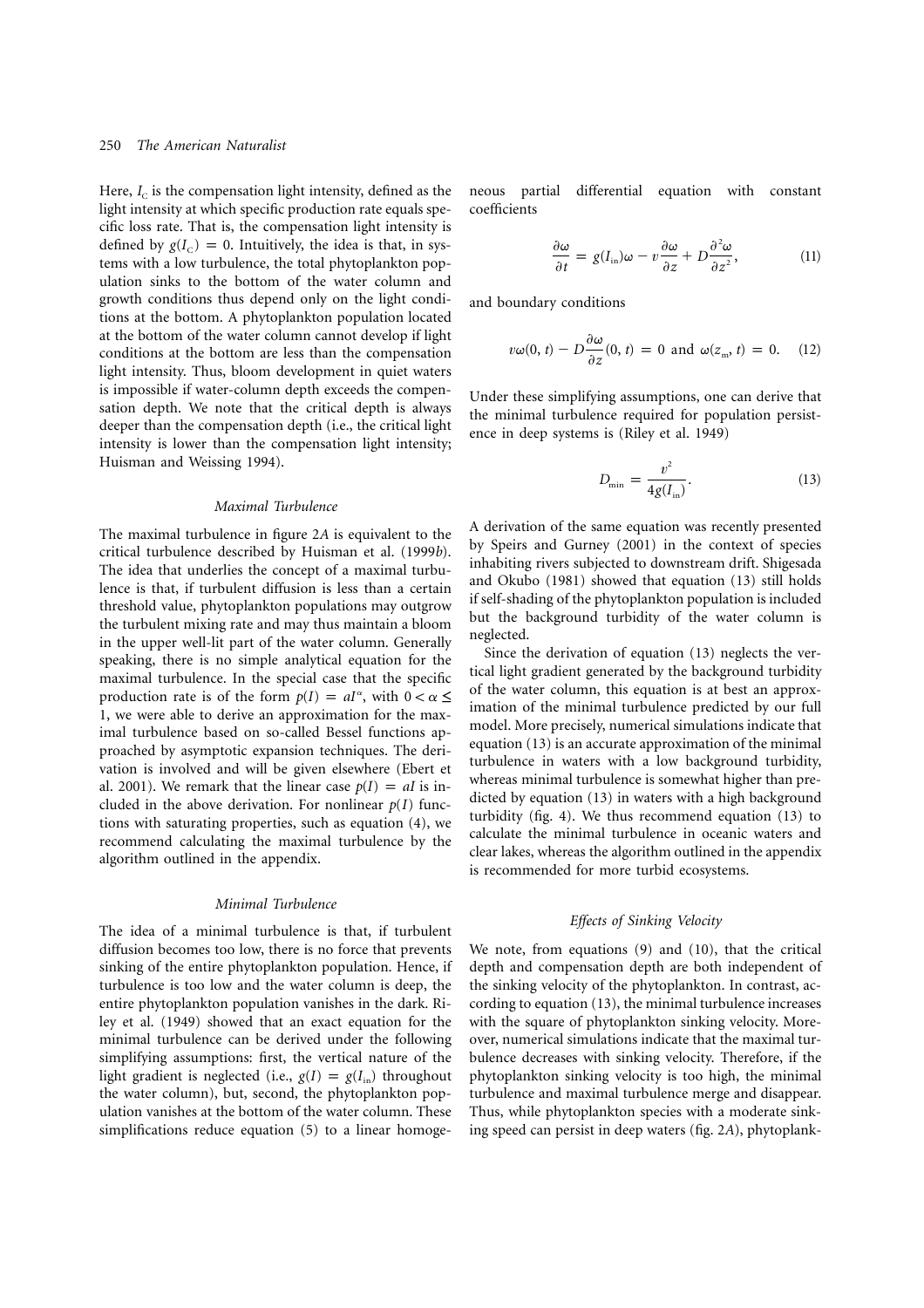Here,  $I_c$  is the compensation light intensity, defined as the light intensity at which specific production rate equals specific loss rate. That is, the compensation light intensity is defined by  $g(I_C) = 0$ . Intuitively, the idea is that, in systems with a low turbulence, the total phytoplankton population sinks to the bottom of the water column and growth conditions thus depend only on the light conditions at the bottom. A phytoplankton population located at the bottom of the water column cannot develop if light conditions at the bottom are less than the compensation light intensity. Thus, bloom development in quiet waters is impossible if water-column depth exceeds the compensation depth. We note that the critical depth is always deeper than the compensation depth (i.e., the critical light intensity is lower than the compensation light intensity; Huisman and Weissing 1994).

# *Maximal Turbulence*

The maximal turbulence in figure 2*A* is equivalent to the critical turbulence described by Huisman et al. (1999*b*). The idea that underlies the concept of a maximal turbulence is that, if turbulent diffusion is less than a certain threshold value, phytoplankton populations may outgrow the turbulent mixing rate and may thus maintain a bloom in the upper well-lit part of the water column. Generally speaking, there is no simple analytical equation for the maximal turbulence. In the special case that the specific production rate is of the form  $p(I) = aI^{\alpha}$ , with  $0 < \alpha \leq I$ 1, we were able to derive an approximation for the maximal turbulence based on so-called Bessel functions approached by asymptotic expansion techniques. The derivation is involved and will be given elsewhere (Ebert et al. 2001). We remark that the linear case  $p(I) = aI$  is included in the above derivation. For nonlinear  $p(I)$  functions with saturating properties, such as equation (4), we recommend calculating the maximal turbulence by the algorithm outlined in the appendix.

## *Minimal Turbulence*

The idea of a minimal turbulence is that, if turbulent diffusion becomes too low, there is no force that prevents sinking of the entire phytoplankton population. Hence, if turbulence is too low and the water column is deep, the entire phytoplankton population vanishes in the dark. Riley et al. (1949) showed that an exact equation for the minimal turbulence can be derived under the following simplifying assumptions: first, the vertical nature of the light gradient is neglected (i.e.,  $g(I) = g(I_{in})$  throughout the water column), but, second, the phytoplankton population vanishes at the bottom of the water column. These simplifications reduce equation (5) to a linear homogeneous partial differential equation with constant coefficients

$$
\frac{\partial \omega}{\partial t} = g(I_{\text{in}}) \omega - v \frac{\partial \omega}{\partial z} + D \frac{\partial^2 \omega}{\partial z^2},\tag{11}
$$

and boundary conditions

$$
v\omega(0, t) - D\frac{\partial \omega}{\partial z}(0, t) = 0 \text{ and } \omega(z_m, t) = 0. \quad (12)
$$

Under these simplifying assumptions, one can derive that the minimal turbulence required for population persistence in deep systems is (Riley et al. 1949)

$$
D_{\min} = \frac{v^2}{4g(I_{\text{in}})}.\tag{13}
$$

A derivation of the same equation was recently presented by Speirs and Gurney (2001) in the context of species inhabiting rivers subjected to downstream drift. Shigesada and Okubo (1981) showed that equation (13) still holds if self-shading of the phytoplankton population is included but the background turbidity of the water column is neglected.

Since the derivation of equation (13) neglects the vertical light gradient generated by the background turbidity of the water column, this equation is at best an approximation of the minimal turbulence predicted by our full model. More precisely, numerical simulations indicate that equation (13) is an accurate approximation of the minimal turbulence in waters with a low background turbidity, whereas minimal turbulence is somewhat higher than predicted by equation (13) in waters with a high background turbidity (fig. 4). We thus recommend equation (13) to calculate the minimal turbulence in oceanic waters and clear lakes, whereas the algorithm outlined in the appendix is recommended for more turbid ecosystems.

## *Effects of Sinking Velocity*

We note, from equations (9) and (10), that the critical depth and compensation depth are both independent of the sinking velocity of the phytoplankton. In contrast, according to equation (13), the minimal turbulence increases with the square of phytoplankton sinking velocity. Moreover, numerical simulations indicate that the maximal turbulence decreases with sinking velocity. Therefore, if the phytoplankton sinking velocity is too high, the minimal turbulence and maximal turbulence merge and disappear. Thus, while phytoplankton species with a moderate sinking speed can persist in deep waters (fig. 2*A*), phytoplank-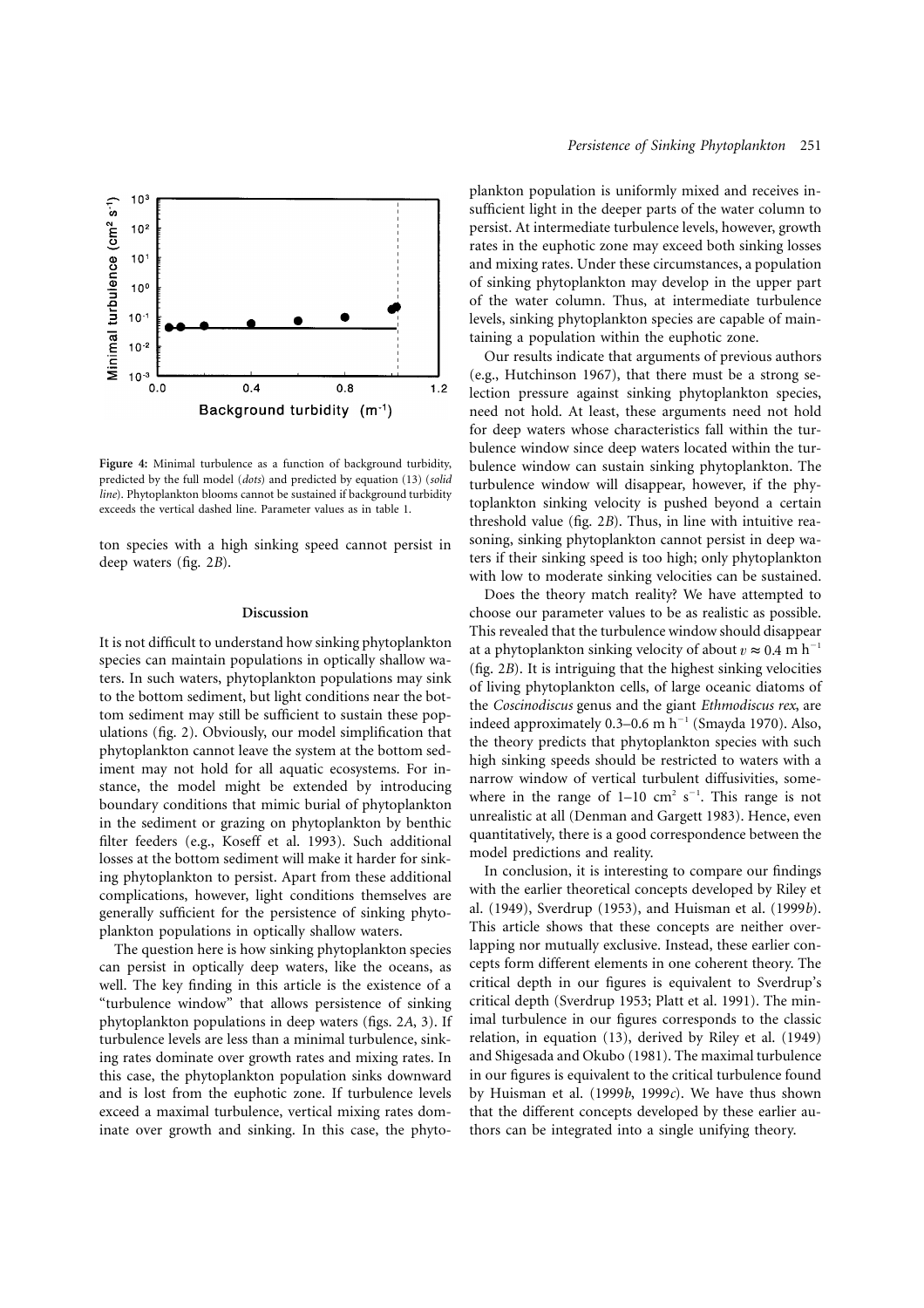

**Figure 4:** Minimal turbulence as a function of background turbidity, predicted by the full model (*dots*) and predicted by equation (13) (*solid line*). Phytoplankton blooms cannot be sustained if background turbidity exceeds the vertical dashed line. Parameter values as in table 1.

ton species with a high sinking speed cannot persist in deep waters (fig. 2*B*).

#### **Discussion**

It is not difficult to understand how sinking phytoplankton species can maintain populations in optically shallow waters. In such waters, phytoplankton populations may sink to the bottom sediment, but light conditions near the bottom sediment may still be sufficient to sustain these populations (fig. 2). Obviously, our model simplification that phytoplankton cannot leave the system at the bottom sediment may not hold for all aquatic ecosystems. For instance, the model might be extended by introducing boundary conditions that mimic burial of phytoplankton in the sediment or grazing on phytoplankton by benthic filter feeders (e.g., Koseff et al. 1993). Such additional losses at the bottom sediment will make it harder for sinking phytoplankton to persist. Apart from these additional complications, however, light conditions themselves are generally sufficient for the persistence of sinking phytoplankton populations in optically shallow waters.

The question here is how sinking phytoplankton species can persist in optically deep waters, like the oceans, as well. The key finding in this article is the existence of a "turbulence window" that allows persistence of sinking phytoplankton populations in deep waters (figs. 2*A*, 3). If turbulence levels are less than a minimal turbulence, sinking rates dominate over growth rates and mixing rates. In this case, the phytoplankton population sinks downward and is lost from the euphotic zone. If turbulence levels exceed a maximal turbulence, vertical mixing rates dominate over growth and sinking. In this case, the phyto-

plankton population is uniformly mixed and receives insufficient light in the deeper parts of the water column to persist. At intermediate turbulence levels, however, growth rates in the euphotic zone may exceed both sinking losses and mixing rates. Under these circumstances, a population of sinking phytoplankton may develop in the upper part of the water column. Thus, at intermediate turbulence levels, sinking phytoplankton species are capable of maintaining a population within the euphotic zone.

Our results indicate that arguments of previous authors (e.g., Hutchinson 1967), that there must be a strong selection pressure against sinking phytoplankton species, need not hold. At least, these arguments need not hold for deep waters whose characteristics fall within the turbulence window since deep waters located within the turbulence window can sustain sinking phytoplankton. The turbulence window will disappear, however, if the phytoplankton sinking velocity is pushed beyond a certain threshold value (fig. 2*B*). Thus, in line with intuitive reasoning, sinking phytoplankton cannot persist in deep waters if their sinking speed is too high; only phytoplankton with low to moderate sinking velocities can be sustained.

Does the theory match reality? We have attempted to choose our parameter values to be as realistic as possible. This revealed that the turbulence window should disappear at a phytoplankton sinking velocity of about  $v \approx 0.4$  m h<sup>-1</sup> (fig. 2*B*). It is intriguing that the highest sinking velocities of living phytoplankton cells, of large oceanic diatoms of the *Coscinodiscus* genus and the giant *Ethmodiscus rex*, are indeed approximately 0.3–0.6 m  $h^{-1}$  (Smayda 1970). Also, the theory predicts that phytoplankton species with such high sinking speeds should be restricted to waters with a narrow window of vertical turbulent diffusivities, somewhere in the range of  $1-10$  cm<sup>2</sup> s<sup>-1</sup>. This range is not unrealistic at all (Denman and Gargett 1983). Hence, even quantitatively, there is a good correspondence between the model predictions and reality.

In conclusion, it is interesting to compare our findings with the earlier theoretical concepts developed by Riley et al. (1949), Sverdrup (1953), and Huisman et al. (1999*b*). This article shows that these concepts are neither overlapping nor mutually exclusive. Instead, these earlier concepts form different elements in one coherent theory. The critical depth in our figures is equivalent to Sverdrup's critical depth (Sverdrup 1953; Platt et al. 1991). The minimal turbulence in our figures corresponds to the classic relation, in equation (13), derived by Riley et al. (1949) and Shigesada and Okubo (1981). The maximal turbulence in our figures is equivalent to the critical turbulence found by Huisman et al. (1999*b*, 1999*c*). We have thus shown that the different concepts developed by these earlier authors can be integrated into a single unifying theory.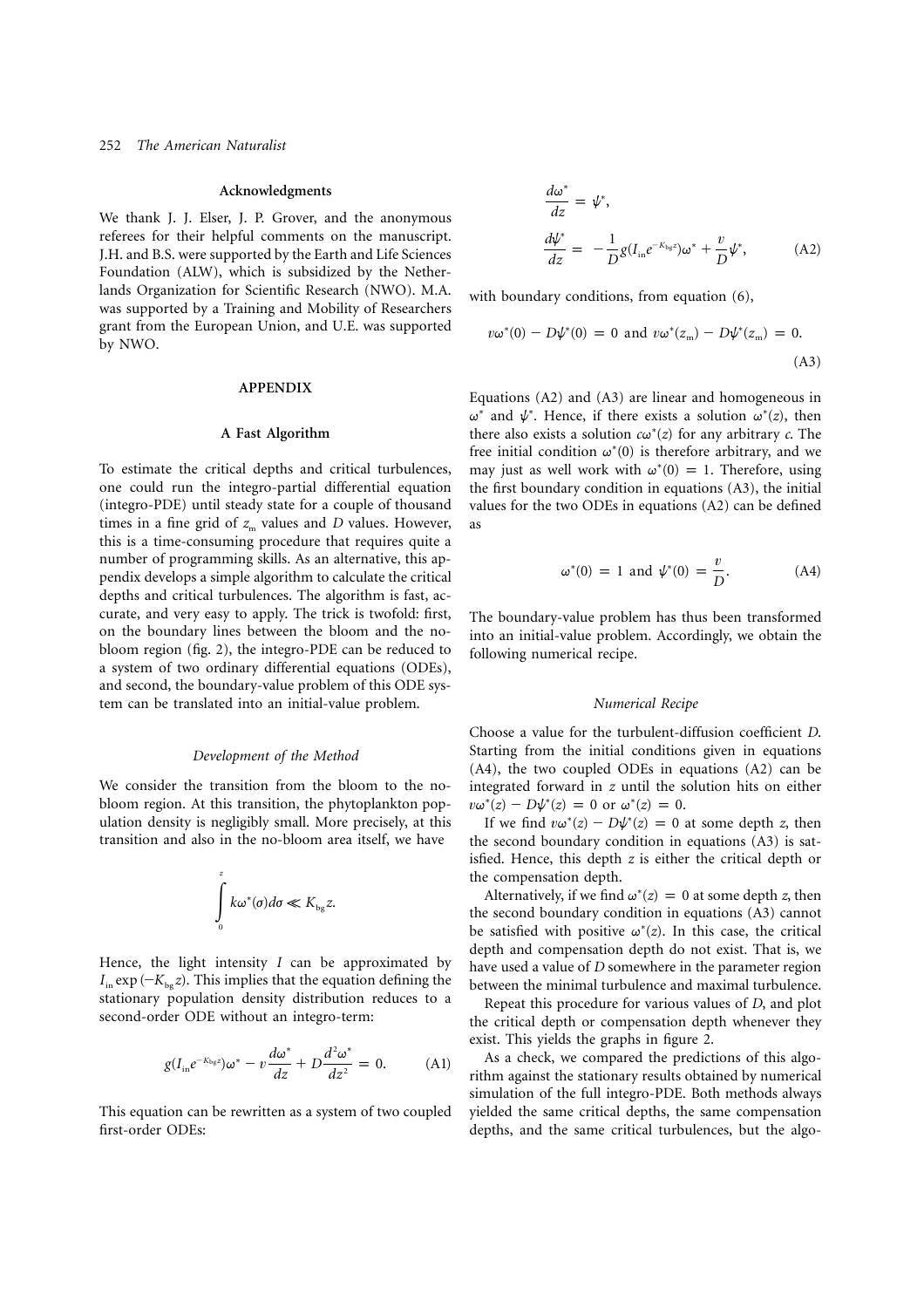# 252 *The American Naturalist*

#### **Acknowledgments**

We thank J. J. Elser, J. P. Grover, and the anonymous referees for their helpful comments on the manuscript. J.H. and B.S. were supported by the Earth and Life Sciences Foundation (ALW), which is subsidized by the Netherlands Organization for Scientific Research (NWO). M.A. was supported by a Training and Mobility of Researchers grant from the European Union, and U.E. was supported by NWO.

# **APPENDIX**

# **A Fast Algorithm**

To estimate the critical depths and critical turbulences, one could run the integro-partial differential equation (integro-PDE) until steady state for a couple of thousand times in a fine grid of  $z<sub>m</sub>$  values and *D* values. However, this is a time-consuming procedure that requires quite a number of programming skills. As an alternative, this appendix develops a simple algorithm to calculate the critical depths and critical turbulences. The algorithm is fast, accurate, and very easy to apply. The trick is twofold: first, on the boundary lines between the bloom and the nobloom region (fig. 2), the integro-PDE can be reduced to a system of two ordinary differential equations (ODEs), and second, the boundary-value problem of this ODE system can be translated into an initial-value problem.

# *Development of the Method*

We consider the transition from the bloom to the nobloom region. At this transition, the phytoplankton population density is negligibly small. More precisely, at this transition and also in the no-bloom area itself, we have

$$
\int\limits_{0}^{z} k\omega^*(\sigma)d\sigma \ll K_{\rm bg}z.
$$

Hence, the light intensity *I* can be approximated by  $I_{\text{in}}$  exp ( $-K_{\text{b}z}$ ). This implies that the equation defining the stationary population density distribution reduces to a second-order ODE without an integro-term:

$$
g(I_{\text{in}}e^{-K_{\text{bg}}z})\omega^* - v\frac{d\omega^*}{dz} + D\frac{d^2\omega^*}{dz^2} = 0. \tag{A1}
$$

This equation can be rewritten as a system of two coupled first-order ODEs:

$$
\frac{d\omega^*}{dz} = \psi^*,
$$
  
\n
$$
\frac{d\psi^*}{dz} = -\frac{1}{D}g(I_{\text{in}}e^{-K_{\text{bg}}z})\omega^* + \frac{v}{D}\psi^*,
$$
 (A2)

with boundary conditions, from equation (6),

$$
v\omega^*(0) - D\psi^*(0) = 0 \text{ and } v\omega^*(z_m) - D\psi^*(z_m) = 0.
$$
\n(A3)

Equations (A2) and (A3) are linear and homogeneous in  $\omega^*$  and  $\psi^*$ . Hence, if there exists a solution  $\omega^*(z)$ , then there also exists a solution  $c\omega^*(z)$  for any arbitrary *c*. The free initial condition  $\omega^*(0)$  is therefore arbitrary, and we may just as well work with  $\omega^*(0) = 1$ . Therefore, using the first boundary condition in equations (A3), the initial values for the two ODEs in equations (A2) can be defined as

$$
\omega^*(0) = 1
$$
 and  $\psi^*(0) = \frac{v}{D}$ . (A4)

The boundary-value problem has thus been transformed into an initial-value problem. Accordingly, we obtain the following numerical recipe.

#### *Numerical Recipe*

Choose a value for the turbulent-diffusion coefficient *D*. Starting from the initial conditions given in equations (A4), the two coupled ODEs in equations (A2) can be integrated forward in *z* until the solution hits on either  $v\omega^{*}(z) - D\psi^{*}(z) = 0$  or  $\omega^{*}(z) = 0$ .

If we find  $v\omega^*(z) - D\psi^*(z) = 0$  at some depth *z*, then the second boundary condition in equations (A3) is satisfied. Hence, this depth *z* is either the critical depth or the compensation depth.

Alternatively, if we find  $\omega^*(z) = 0$  at some depth *z*, then the second boundary condition in equations (A3) cannot be satisfied with positive  $\omega^*(z)$ . In this case, the critical depth and compensation depth do not exist. That is, we have used a value of *D* somewhere in the parameter region between the minimal turbulence and maximal turbulence.

Repeat this procedure for various values of *D*, and plot the critical depth or compensation depth whenever they exist. This yields the graphs in figure 2.

As a check, we compared the predictions of this algorithm against the stationary results obtained by numerical simulation of the full integro-PDE. Both methods always yielded the same critical depths, the same compensation depths, and the same critical turbulences, but the algo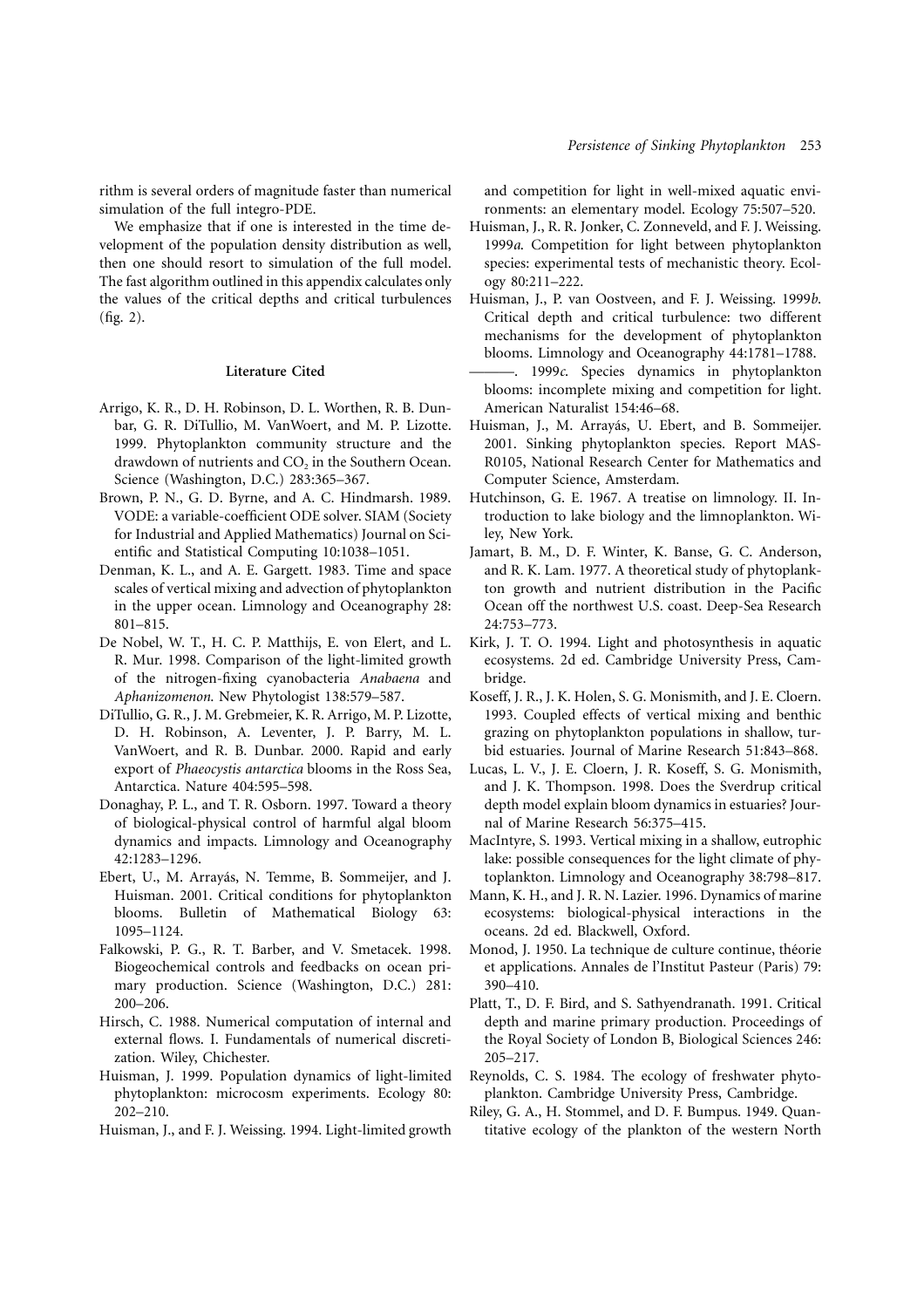rithm is several orders of magnitude faster than numerical simulation of the full integro-PDE.

We emphasize that if one is interested in the time development of the population density distribution as well, then one should resort to simulation of the full model. The fast algorithm outlined in this appendix calculates only the values of the critical depths and critical turbulences (fig. 2).

# **Literature Cited**

- Arrigo, K. R., D. H. Robinson, D. L. Worthen, R. B. Dunbar, G. R. DiTullio, M. VanWoert, and M. P. Lizotte. 1999. Phytoplankton community structure and the drawdown of nutrients and CO<sub>2</sub> in the Southern Ocean. Science (Washington, D.C.) 283:365–367.
- Brown, P. N., G. D. Byrne, and A. C. Hindmarsh. 1989. VODE: a variable-coefficient ODE solver. SIAM (Society for Industrial and Applied Mathematics) Journal on Scientific and Statistical Computing 10:1038–1051.
- Denman, K. L., and A. E. Gargett. 1983. Time and space scales of vertical mixing and advection of phytoplankton in the upper ocean. Limnology and Oceanography 28: 801–815.
- De Nobel, W. T., H. C. P. Matthijs, E. von Elert, and L. R. Mur. 1998. Comparison of the light-limited growth of the nitrogen-fixing cyanobacteria *Anabaena* and *Aphanizomenon*. New Phytologist 138:579–587.
- DiTullio, G. R., J. M. Grebmeier, K. R. Arrigo, M. P. Lizotte, D. H. Robinson, A. Leventer, J. P. Barry, M. L. VanWoert, and R. B. Dunbar. 2000. Rapid and early export of *Phaeocystis antarctica* blooms in the Ross Sea, Antarctica. Nature 404:595–598.
- Donaghay, P. L., and T. R. Osborn. 1997. Toward a theory of biological-physical control of harmful algal bloom dynamics and impacts. Limnology and Oceanography 42:1283–1296.
- Ebert, U., M. Arrayás, N. Temme, B. Sommeijer, and J. Huisman. 2001. Critical conditions for phytoplankton blooms. Bulletin of Mathematical Biology 63: 1095–1124.
- Falkowski, P. G., R. T. Barber, and V. Smetacek. 1998. Biogeochemical controls and feedbacks on ocean primary production. Science (Washington, D.C.) 281: 200–206.
- Hirsch, C. 1988. Numerical computation of internal and external flows. I. Fundamentals of numerical discretization. Wiley, Chichester.
- Huisman, J. 1999. Population dynamics of light-limited phytoplankton: microcosm experiments. Ecology 80: 202–210.
- Huisman, J., and F. J. Weissing. 1994. Light-limited growth

and competition for light in well-mixed aquatic environments: an elementary model. Ecology 75:507–520.

- Huisman, J., R. R. Jonker, C. Zonneveld, and F. J. Weissing. 1999*a*. Competition for light between phytoplankton species: experimental tests of mechanistic theory. Ecology 80:211–222.
- Huisman, J., P. van Oostveen, and F. J. Weissing. 1999*b*. Critical depth and critical turbulence: two different mechanisms for the development of phytoplankton blooms. Limnology and Oceanography 44:1781–1788.
- ———. 1999*c*. Species dynamics in phytoplankton blooms: incomplete mixing and competition for light. American Naturalist 154:46–68.
- Huisman, J., M. Arrayás, U. Ebert, and B. Sommeijer. 2001. Sinking phytoplankton species. Report MAS-R0105, National Research Center for Mathematics and Computer Science, Amsterdam.
- Hutchinson, G. E. 1967. A treatise on limnology. II. Introduction to lake biology and the limnoplankton. Wiley, New York.
- Jamart, B. M., D. F. Winter, K. Banse, G. C. Anderson, and R. K. Lam. 1977. A theoretical study of phytoplankton growth and nutrient distribution in the Pacific Ocean off the northwest U.S. coast. Deep-Sea Research 24:753–773.
- Kirk, J. T. O. 1994. Light and photosynthesis in aquatic ecosystems. 2d ed. Cambridge University Press, Cambridge.
- Koseff, J. R., J. K. Holen, S. G. Monismith, and J. E. Cloern. 1993. Coupled effects of vertical mixing and benthic grazing on phytoplankton populations in shallow, turbid estuaries. Journal of Marine Research 51:843–868.
- Lucas, L. V., J. E. Cloern, J. R. Koseff, S. G. Monismith, and J. K. Thompson. 1998. Does the Sverdrup critical depth model explain bloom dynamics in estuaries? Journal of Marine Research 56:375–415.
- MacIntyre, S. 1993. Vertical mixing in a shallow, eutrophic lake: possible consequences for the light climate of phytoplankton. Limnology and Oceanography 38:798–817.
- Mann, K. H., and J. R. N. Lazier. 1996. Dynamics of marine ecosystems: biological-physical interactions in the oceans. 2d ed. Blackwell, Oxford.
- Monod, J. 1950. La technique de culture continue, théorie et applications. Annales de l'Institut Pasteur (Paris) 79: 390–410.
- Platt, T., D. F. Bird, and S. Sathyendranath. 1991. Critical depth and marine primary production. Proceedings of the Royal Society of London B, Biological Sciences 246: 205–217.
- Reynolds, C. S. 1984. The ecology of freshwater phytoplankton. Cambridge University Press, Cambridge.
- Riley, G. A., H. Stommel, and D. F. Bumpus. 1949. Quantitative ecology of the plankton of the western North